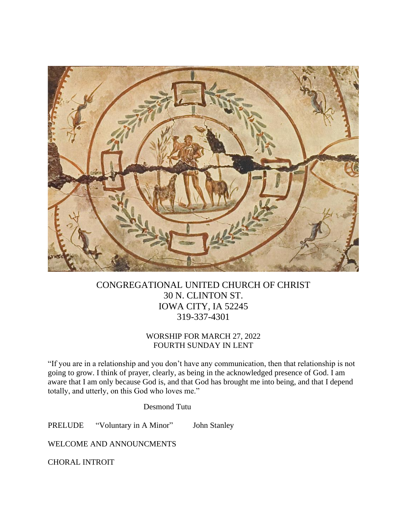

# CONGREGATIONAL UNITED CHURCH OF CHRIST 30 N. CLINTON ST. IOWA CITY, IA 52245 319-337-4301

## WORSHIP FOR MARCH 27, 2022 FOURTH SUNDAY IN LENT

"If you are in a relationship and you don't have any communication, then that relationship is not going to grow. I think of prayer, clearly, as being in the acknowledged presence of God. I am aware that I am only because God is, and that God has brought me into being, and that I depend totally, and utterly, on this God who loves me."

Desmond Tutu

PRELUDE "Voluntary in A Minor" John Stanley

WELCOME AND ANNOUNCMENTS

CHORAL INTROIT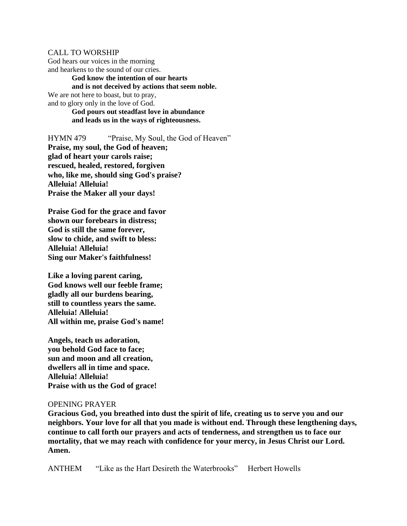#### CALL TO WORSHIP

God hears our voices in the morning and hearkens to the sound of our cries.

**God know the intention of our hearts and is not deceived by actions that seem noble.** We are not here to boast, but to pray, and to glory only in the love of God. **God pours out steadfast love in abundance and leads us in the ways of righteousness.**

HYMN 479 "Praise, My Soul, the God of Heaven" **Praise, my soul, the God of heaven; glad of heart your carols raise; rescued, healed, restored, forgiven who, like me, should sing God's praise? Alleluia! Alleluia! Praise the Maker all your days!**

**Praise God for the grace and favor shown our forebears in distress; God is still the same forever, slow to chide, and swift to bless: Alleluia! Alleluia! Sing our Maker's faithfulness!**

**Like a loving parent caring, God knows well our feeble frame; gladly all our burdens bearing, still to countless years the same. Alleluia! Alleluia! All within me, praise God's name!**

**Angels, teach us adoration, you behold God face to face; sun and moon and all creation, dwellers all in time and space. Alleluia! Alleluia! Praise with us the God of grace!**

#### OPENING PRAYER

**Gracious God, you breathed into dust the spirit of life, creating us to serve you and our neighbors. Your love for all that you made is without end. Through these lengthening days, continue to call forth our prayers and acts of tenderness, and strengthen us to face our mortality, that we may reach with confidence for your mercy, in Jesus Christ our Lord. Amen.**

ANTHEM "Like as the Hart Desireth the Waterbrooks" Herbert Howells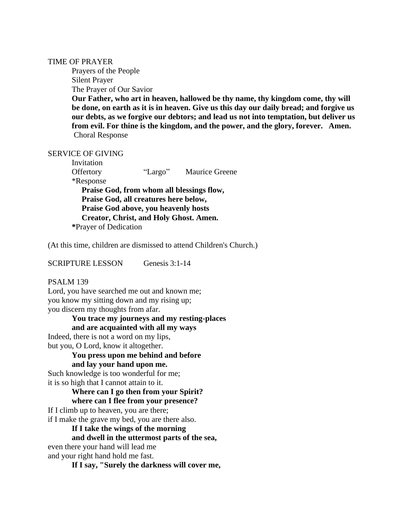#### TIME OF PRAYER

Prayers of the People Silent Prayer The Prayer of Our Savior

**Our Father, who art in heaven, hallowed be thy name, thy kingdom come, thy will be done, on earth as it is in heaven. Give us this day our daily bread; and forgive us our debts, as we forgive our debtors; and lead us not into temptation, but deliver us from evil. For thine is the kingdom, and the power, and the glory, forever. Amen.** Choral Response

#### SERVICE OF GIVING

Invitation Offertory "Largo" Maurice Greene \*Response **Praise God, from whom all blessings flow, Praise God, all creatures here below, Praise God above, you heavenly hosts Creator, Christ, and Holy Ghost. Amen. \***Prayer of Dedication

(At this time, children are dismissed to attend Children's Church.)

SCRIPTURE LESSON Genesis 3:1-14

#### PSALM 139

Lord, you have searched me out and known me; you know my sitting down and my rising up; you discern my thoughts from afar.

## **You trace my journeys and my resting-places**

**and are acquainted with all my ways**

Indeed, there is not a word on my lips, but you, O Lord, know it altogether.

## **You press upon me behind and before**

**and lay your hand upon me.**

Such knowledge is too wonderful for me; it is so high that I cannot attain to it.

## **Where can I go then from your Spirit? where can I flee from your presence?**

If I climb up to heaven, you are there; if I make the grave my bed, you are there also.

**If I take the wings of the morning**

#### **and dwell in the uttermost parts of the sea,**

even there your hand will lead me and your right hand hold me fast.

**If I say, "Surely the darkness will cover me,**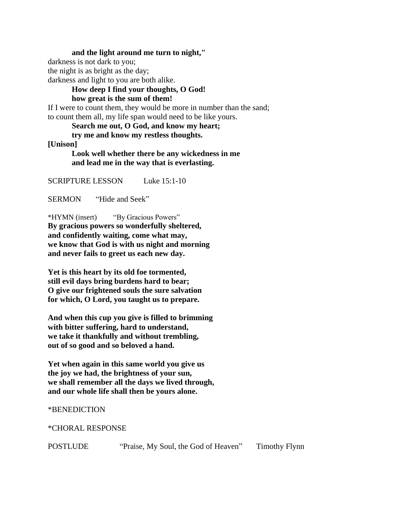**and the light around me turn to night,"**

darkness is not dark to you;

the night is as bright as the day;

darkness and light to you are both alike.

# **How deep I find your thoughts, O God!**

**how great is the sum of them!**

If I were to count them, they would be more in number than the sand; to count them all, my life span would need to be like yours.

**Search me out, O God, and know my heart;**

**try me and know my restless thoughts.**

## **[Unison]**

**Look well whether there be any wickedness in me and lead me in the way that is everlasting.**

SCRIPTURE LESSON Luke 15:1-10

SERMON "Hide and Seek"

\*HYMN (insert) "By Gracious Powers" **By gracious powers so wonderfully sheltered, and confidently waiting, come what may, we know that God is with us night and morning and never fails to greet us each new day.**

**Yet is this heart by its old foe tormented, still evil days bring burdens hard to bear; O give our frightened souls the sure salvation for which, O Lord, you taught us to prepare.**

**And when this cup you give is filled to brimming with bitter suffering, hard to understand, we take it thankfully and without trembling, out of so good and so beloved a hand.**

**Yet when again in this same world you give us the joy we had, the brightness of your sun, we shall remember all the days we lived through, and our whole life shall then be yours alone.**

## \*BENEDICTION

\*CHORAL RESPONSE

POSTLUDE "Praise, My Soul, the God of Heaven" Timothy Flynn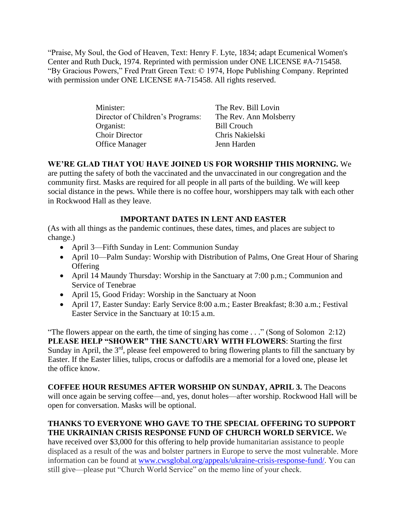"Praise, My Soul, the God of Heaven, Text: Henry F. Lyte, 1834; adapt Ecumenical Women's Center and Ruth Duck, 1974. Reprinted with permission under ONE LICENSE #A-715458. "By Gracious Powers," Fred Pratt Green Text: © 1974, Hope Publishing Company. Reprinted with permission under ONE LICENSE #A-715458. All rights reserved.

| Minister:                        | The Rev. Bill Lovin    |
|----------------------------------|------------------------|
| Director of Children's Programs: | The Rev. Ann Molsberry |
| Organist:                        | <b>Bill Crouch</b>     |
| <b>Choir Director</b>            | Chris Nakielski        |
| <b>Office Manager</b>            | Jenn Harden            |

# **WE'RE GLAD THAT YOU HAVE JOINED US FOR WORSHIP THIS MORNING.** We

are putting the safety of both the vaccinated and the unvaccinated in our congregation and the community first. Masks are required for all people in all parts of the building. We will keep social distance in the pews. While there is no coffee hour, worshippers may talk with each other in Rockwood Hall as they leave.

# **IMPORTANT DATES IN LENT AND EASTER**

(As with all things as the pandemic continues, these dates, times, and places are subject to change.)

- April 3—Fifth Sunday in Lent: Communion Sunday
- April 10—Palm Sunday: Worship with Distribution of Palms, One Great Hour of Sharing **Offering**
- April 14 Maundy Thursday: Worship in the Sanctuary at 7:00 p.m.; Communion and Service of Tenebrae
- April 15, Good Friday: Worship in the Sanctuary at Noon
- April 17, Easter Sunday: Early Service 8:00 a.m.; Easter Breakfast; 8:30 a.m.; Festival Easter Service in the Sanctuary at 10:15 a.m.

"The flowers appear on the earth, the time of singing has come . . ." (Song of Solomon 2:12) **PLEASE HELP "SHOWER" THE SANCTUARY WITH FLOWERS**: Starting the first Sunday in April, the 3<sup>rd</sup>, please feel empowered to bring flowering plants to fill the sanctuary by Easter. If the Easter lilies, tulips, crocus or daffodils are a memorial for a loved one, please let the office know.

**COFFEE HOUR RESUMES AFTER WORSHIP ON SUNDAY, APRIL 3.** The Deacons will once again be serving coffee—and, yes, donut holes—after worship. Rockwood Hall will be open for conversation. Masks will be optional.

# **THANKS TO EVERYONE WHO GAVE TO THE SPECIAL OFFERING TO SUPPORT THE UKRAINIAN CRISIS RESPONSE FUND OF CHURCH WORLD SERVICE.** We

have received over \$3,000 for this offering to help provide humanitarian assistance to people displaced as a result of the was and bolster partners in Europe to serve the most vulnerable. More information can be found at [www.cwsglobal.org/appeals/ukraine-crisis-response-fund/.](http://www.cwsglobal.org/appeals/ukraine-crisis-response-fund/) You can still give—please put "Church World Service" on the memo line of your check.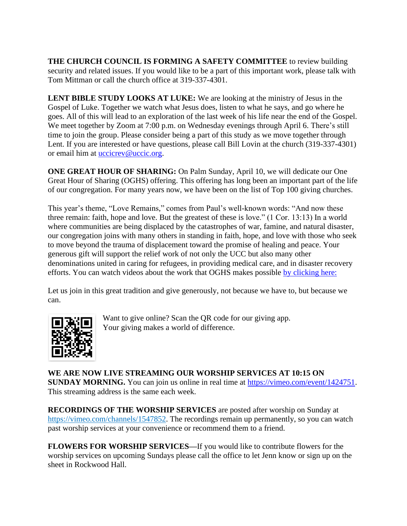**THE CHURCH COUNCIL IS FORMING A SAFETY COMMITTEE** to review building security and related issues. If you would like to be a part of this important work, please talk with Tom Mittman or call the church office at 319-337-4301.

**LENT BIBLE STUDY LOOKS AT LUKE:** We are looking at the ministry of Jesus in the Gospel of Luke. Together we watch what Jesus does, listen to what he says, and go where he goes. All of this will lead to an exploration of the last week of his life near the end of the Gospel. We meet together by Zoom at 7:00 p.m. on Wednesday evenings through April 6. There's still time to join the group. Please consider being a part of this study as we move together through Lent. If you are interested or have questions, please call Bill Lovin at the church (319-337-4301) or email him at *uccicrev@uccic.org*.

**ONE GREAT HOUR OF SHARING:** On Palm Sunday, April 10, we will dedicate our One Great Hour of Sharing (OGHS) offering. This offering has long been an important part of the life of our congregation. For many years now, we have been on the list of Top 100 giving churches.

This year's theme, "Love Remains," comes from Paul's well-known words: "And now these three remain: faith, hope and love. But the greatest of these is love." (1 Cor. 13:13) In a world where communities are being displaced by the catastrophes of war, famine, and natural disaster, our congregation joins with many others in standing in faith, hope, and love with those who seek to move beyond the trauma of displacement toward the promise of healing and peace. Your generous gift will support the relief work of not only the UCC but also many other denominations united in caring for refugees, in providing medical care, and in disaster recovery efforts. You can watch videos about the work that OGHS makes possible [by clicking here:](https://www.ucc.org/oghs_oghs-videos/)

Let us join in this great tradition and give generously, not because we have to, but because we can.



Want to give online? Scan the QR code for our giving app. Your giving makes a world of difference.

**WE ARE NOW LIVE STREAMING OUR WORSHIP SERVICES AT 10:15 ON SUNDAY MORNING.** You can join us online in real time at [https://vimeo.com/event/1424751.](https://vimeo.com/event/1424751) This streaming address is the same each week.

**RECORDINGS OF THE WORSHIP SERVICES** are posted after worship on Sunday at [https://vimeo.com/channels/1547852.](https://vimeo.com/channels/1547852) The recordings remain up permanently, so you can watch past worship services at your convenience or recommend them to a friend.

**FLOWERS FOR WORSHIP SERVICES—**If you would like to contribute flowers for the worship services on upcoming Sundays please call the office to let Jenn know or sign up on the sheet in Rockwood Hall.